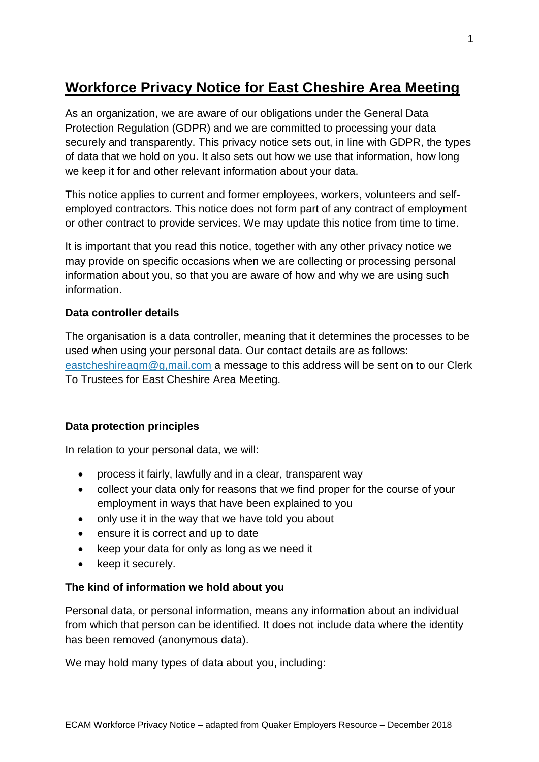# **Workforce Privacy Notice for East Cheshire Area Meeting**

As an organization, we are aware of our obligations under the General Data Protection Regulation (GDPR) and we are committed to processing your data securely and transparently. This privacy notice sets out, in line with GDPR, the types of data that we hold on you. It also sets out how we use that information, how long we keep it for and other relevant information about your data.

This notice applies to current and former employees, workers, volunteers and selfemployed contractors. This notice does not form part of any contract of employment or other contract to provide services. We may update this notice from time to time.

It is important that you read this notice, together with any other privacy notice we may provide on specific occasions when we are collecting or processing personal information about you, so that you are aware of how and why we are using such information.

## **Data controller details**

The organisation is a data controller, meaning that it determines the processes to be used when using your personal data. Our contact details are as follows: [eastcheshireaqm@g,mail.com](mailto:eastcheshireaqm@g,mail.com) a message to this address will be sent on to our Clerk To Trustees for East Cheshire Area Meeting.

# **Data protection principles**

In relation to your personal data, we will:

- process it fairly, lawfully and in a clear, transparent way
- collect your data only for reasons that we find proper for the course of your employment in ways that have been explained to you
- only use it in the way that we have told you about
- ensure it is correct and up to date
- keep your data for only as long as we need it
- keep it securely.

## **The kind of information we hold about you**

Personal data, or personal information, means any information about an individual from which that person can be identified. It does not include data where the identity has been removed (anonymous data).

We may hold many types of data about you, including: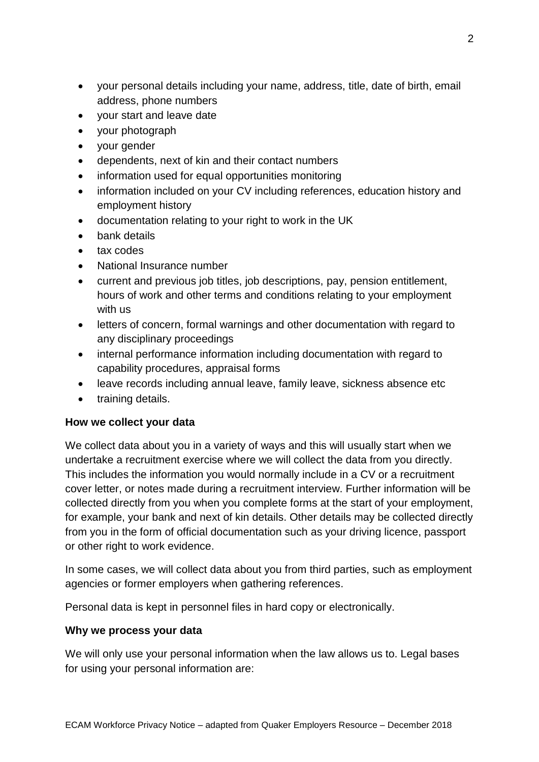- your personal details including your name, address, title, date of birth, email address, phone numbers
- your start and leave date
- your photograph
- your gender
- dependents, next of kin and their contact numbers
- information used for equal opportunities monitoring
- information included on your CV including references, education history and employment history
- documentation relating to your right to work in the UK
- bank details
- tax codes
- National Insurance number
- current and previous job titles, job descriptions, pay, pension entitlement, hours of work and other terms and conditions relating to your employment with us
- letters of concern, formal warnings and other documentation with regard to any disciplinary proceedings
- internal performance information including documentation with regard to capability procedures, appraisal forms
- leave records including annual leave, family leave, sickness absence etc
- training details.

# **How we collect your data**

We collect data about you in a variety of ways and this will usually start when we undertake a recruitment exercise where we will collect the data from you directly. This includes the information you would normally include in a CV or a recruitment cover letter, or notes made during a recruitment interview. Further information will be collected directly from you when you complete forms at the start of your employment, for example, your bank and next of kin details. Other details may be collected directly from you in the form of official documentation such as your driving licence, passport or other right to work evidence.

In some cases, we will collect data about you from third parties, such as employment agencies or former employers when gathering references.

Personal data is kept in personnel files in hard copy or electronically.

## **Why we process your data**

We will only use your personal information when the law allows us to. Legal bases for using your personal information are: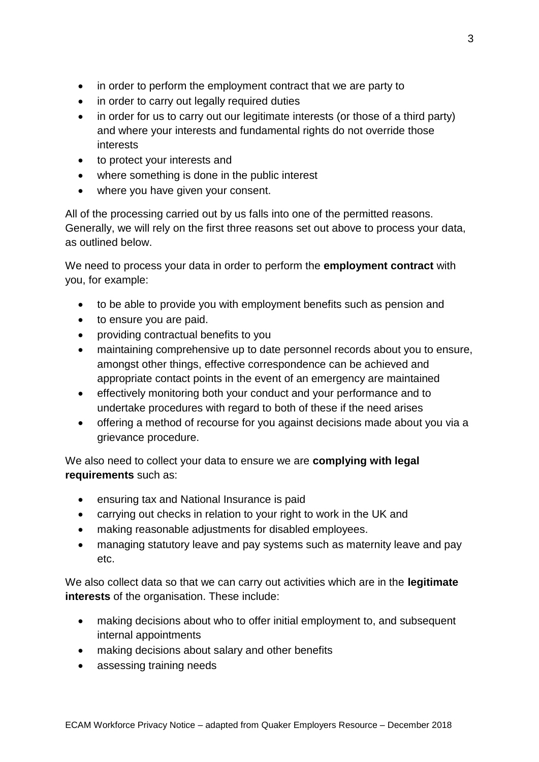- in order to perform the employment contract that we are party to
- in order to carry out legally required duties
- in order for us to carry out our legitimate interests (or those of a third party) and where your interests and fundamental rights do not override those interests
- to protect your interests and
- where something is done in the public interest
- where you have given your consent.

All of the processing carried out by us falls into one of the permitted reasons. Generally, we will rely on the first three reasons set out above to process your data, as outlined below.

We need to process your data in order to perform the **employment contract** with you, for example:

- to be able to provide you with employment benefits such as pension and
- to ensure you are paid.
- providing contractual benefits to you
- maintaining comprehensive up to date personnel records about you to ensure, amongst other things, effective correspondence can be achieved and appropriate contact points in the event of an emergency are maintained
- effectively monitoring both your conduct and your performance and to undertake procedures with regard to both of these if the need arises
- offering a method of recourse for you against decisions made about you via a grievance procedure.

We also need to collect your data to ensure we are **complying with legal requirements** such as:

- ensuring tax and National Insurance is paid
- carrying out checks in relation to your right to work in the UK and
- making reasonable adjustments for disabled employees.
- managing statutory leave and pay systems such as maternity leave and pay etc.

We also collect data so that we can carry out activities which are in the **legitimate interests** of the organisation. These include:

- making decisions about who to offer initial employment to, and subsequent internal appointments
- making decisions about salary and other benefits
- assessing training needs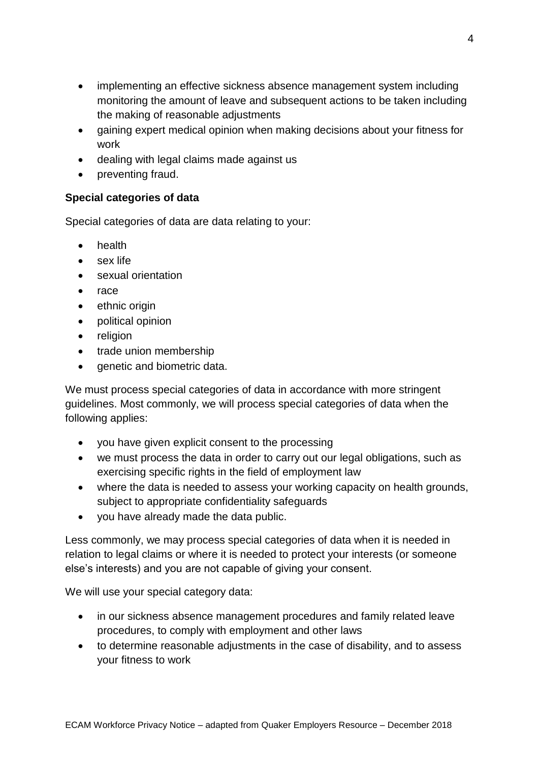- implementing an effective sickness absence management system including monitoring the amount of leave and subsequent actions to be taken including the making of reasonable adjustments
- gaining expert medical opinion when making decisions about your fitness for work
- dealing with legal claims made against us
- preventing fraud.

# **Special categories of data**

Special categories of data are data relating to your:

- health
- sex life
- sexual orientation
- race
- ethnic origin
- political opinion
- religion
- trade union membership
- genetic and biometric data.

We must process special categories of data in accordance with more stringent guidelines. Most commonly, we will process special categories of data when the following applies:

- you have given explicit consent to the processing
- we must process the data in order to carry out our legal obligations, such as exercising specific rights in the field of employment law
- where the data is needed to assess your working capacity on health grounds, subject to appropriate confidentiality safeguards
- you have already made the data public.

Less commonly, we may process special categories of data when it is needed in relation to legal claims or where it is needed to protect your interests (or someone else's interests) and you are not capable of giving your consent.

We will use your special category data:

- in our sickness absence management procedures and family related leave procedures, to comply with employment and other laws
- to determine reasonable adjustments in the case of disability, and to assess your fitness to work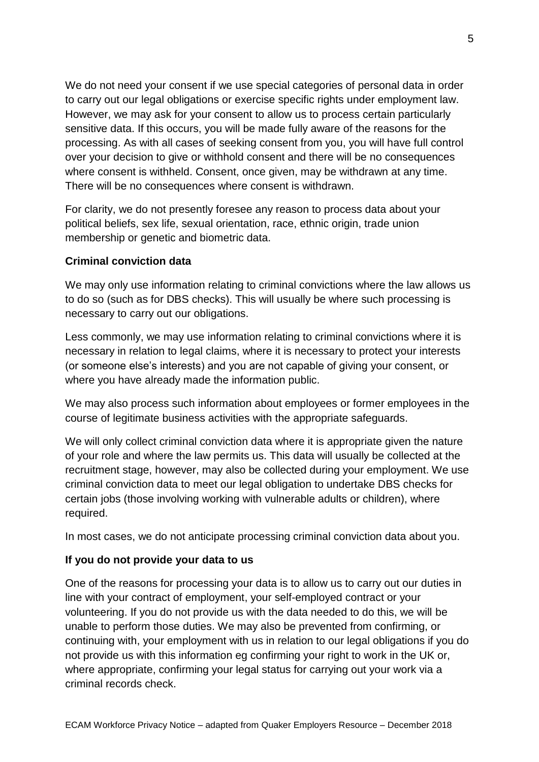We do not need your consent if we use special categories of personal data in order to carry out our legal obligations or exercise specific rights under employment law. However, we may ask for your consent to allow us to process certain particularly sensitive data. If this occurs, you will be made fully aware of the reasons for the processing. As with all cases of seeking consent from you, you will have full control over your decision to give or withhold consent and there will be no consequences where consent is withheld. Consent, once given, may be withdrawn at any time. There will be no consequences where consent is withdrawn.

For clarity, we do not presently foresee any reason to process data about your political beliefs, sex life, sexual orientation, race, ethnic origin, trade union membership or genetic and biometric data.

## **Criminal conviction data**

We may only use information relating to criminal convictions where the law allows us to do so (such as for DBS checks). This will usually be where such processing is necessary to carry out our obligations.

Less commonly, we may use information relating to criminal convictions where it is necessary in relation to legal claims, where it is necessary to protect your interests (or someone else's interests) and you are not capable of giving your consent, or where you have already made the information public.

We may also process such information about employees or former employees in the course of legitimate business activities with the appropriate safeguards.

We will only collect criminal conviction data where it is appropriate given the nature of your role and where the law permits us. This data will usually be collected at the recruitment stage, however, may also be collected during your employment. We use criminal conviction data to meet our legal obligation to undertake DBS checks for certain jobs (those involving working with vulnerable adults or children), where required.

In most cases, we do not anticipate processing criminal conviction data about you.

## **If you do not provide your data to us**

One of the reasons for processing your data is to allow us to carry out our duties in line with your contract of employment, your self-employed contract or your volunteering. If you do not provide us with the data needed to do this, we will be unable to perform those duties. We may also be prevented from confirming, or continuing with, your employment with us in relation to our legal obligations if you do not provide us with this information eg confirming your right to work in the UK or, where appropriate, confirming your legal status for carrying out your work via a criminal records check.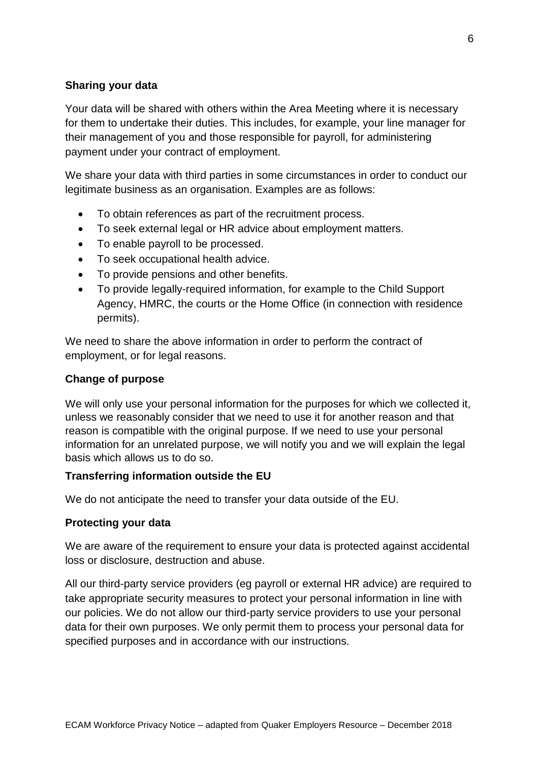## **Sharing your data**

Your data will be shared with others within the Area Meeting where it is necessary for them to undertake their duties. This includes, for example, your line manager for their management of you and those responsible for payroll, for administering payment under your contract of employment.

We share your data with third parties in some circumstances in order to conduct our legitimate business as an organisation. Examples are as follows:

- To obtain references as part of the recruitment process.
- To seek external legal or HR advice about employment matters.
- To enable payroll to be processed.
- To seek occupational health advice.
- To provide pensions and other benefits.
- To provide legally-required information, for example to the Child Support Agency, HMRC, the courts or the Home Office (in connection with residence permits).

We need to share the above information in order to perform the contract of employment, or for legal reasons.

## **Change of purpose**

We will only use your personal information for the purposes for which we collected it, unless we reasonably consider that we need to use it for another reason and that reason is compatible with the original purpose. If we need to use your personal information for an unrelated purpose, we will notify you and we will explain the legal basis which allows us to do so.

## **Transferring information outside the EU**

We do not anticipate the need to transfer your data outside of the EU.

## **Protecting your data**

We are aware of the requirement to ensure your data is protected against accidental loss or disclosure, destruction and abuse.

All our third-party service providers (eg payroll or external HR advice) are required to take appropriate security measures to protect your personal information in line with our policies. We do not allow our third-party service providers to use your personal data for their own purposes. We only permit them to process your personal data for specified purposes and in accordance with our instructions.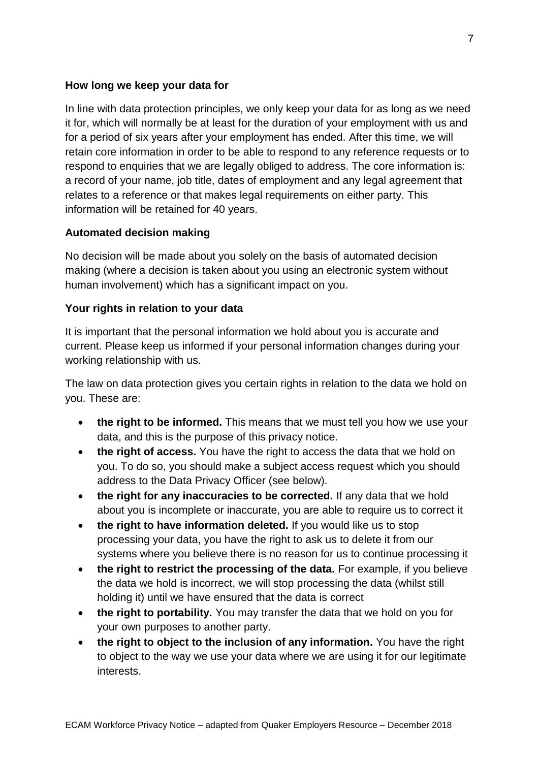## **How long we keep your data for**

In line with data protection principles, we only keep your data for as long as we need it for, which will normally be at least for the duration of your employment with us and for a period of six years after your employment has ended. After this time, we will retain core information in order to be able to respond to any reference requests or to respond to enquiries that we are legally obliged to address. The core information is: a record of your name, job title, dates of employment and any legal agreement that relates to a reference or that makes legal requirements on either party. This information will be retained for 40 years.

## **Automated decision making**

No decision will be made about you solely on the basis of automated decision making (where a decision is taken about you using an electronic system without human involvement) which has a significant impact on you.

## **Your rights in relation to your data**

It is important that the personal information we hold about you is accurate and current. Please keep us informed if your personal information changes during your working relationship with us.

The law on data protection gives you certain rights in relation to the data we hold on you. These are:

- **the right to be informed.** This means that we must tell you how we use your data, and this is the purpose of this privacy notice.
- **the right of access.** You have the right to access the data that we hold on you. To do so, you should make a subject access request which you should address to the Data Privacy Officer (see below).
- **the right for any inaccuracies to be corrected.** If any data that we hold about you is incomplete or inaccurate, you are able to require us to correct it
- **the right to have information deleted.** If you would like us to stop processing your data, you have the right to ask us to delete it from our systems where you believe there is no reason for us to continue processing it
- **the right to restrict the processing of the data.** For example, if you believe the data we hold is incorrect, we will stop processing the data (whilst still holding it) until we have ensured that the data is correct
- **the right to portability.** You may transfer the data that we hold on you for your own purposes to another party.
- **the right to object to the inclusion of any information.** You have the right to object to the way we use your data where we are using it for our legitimate interests.